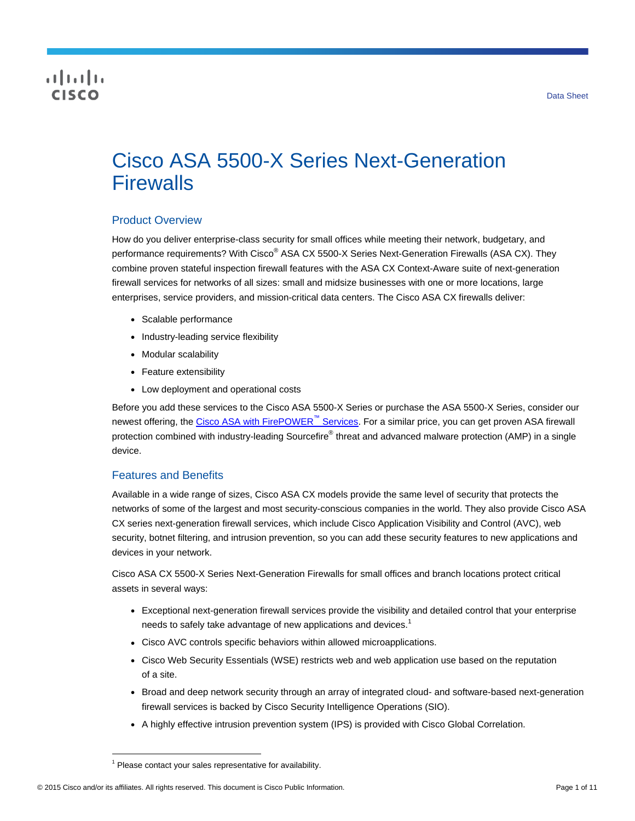## CISCO

# Cisco ASA 5500-X Series Next-Generation **Firewalls**

#### Product Overview

How do you deliver enterprise-class security for small offices while meeting their network, budgetary, and performance requirements? With Cisco<sup>®</sup> ASA CX 5500-X Series Next-Generation Firewalls (ASA CX). They combine proven stateful inspection firewall features with the ASA CX Context-Aware suite of next-generation firewall services for networks of all sizes: small and midsize businesses with one or more locations, large enterprises, service providers, and mission-critical data centers. The Cisco ASA CX firewalls deliver:

- Scalable performance
- Industry-leading service flexibility
- Modular scalability
- Feature extensibility
- Low deployment and operational costs

Before you add these services to the Cisco ASA 5500-X Series or purchase the ASA 5500-X Series, consider our newest offering, the [Cisco ASA with FirePOWER](http://www.cisco.com/c/en/us/products/security/asa-firepower-services/index.html)<sup>™</sup> Services. For a similar price, you can get proven ASA firewall protection combined with industry-leading Sourcefire® threat and advanced malware protection (AMP) in a single device.

#### Features and Benefits

Available in a wide range of sizes, Cisco ASA CX models provide the same level of security that protects the networks of some of the largest and most security-conscious companies in the world. They also provide Cisco ASA CX series next-generation firewall services, which include Cisco Application Visibility and Control (AVC), web security, botnet filtering, and intrusion prevention, so you can add these security features to new applications and devices in your network.

Cisco ASA CX 5500-X Series Next-Generation Firewalls for small offices and branch locations protect critical assets in several ways:

- Exceptional next-generation firewall services provide the visibility and detailed control that your enterprise needs to safely take advantage of new applications and devices.<sup>1</sup>
- Cisco AVC controls specific behaviors within allowed microapplications.
- Cisco Web Security Essentials (WSE) restricts web and web application use based on the reputation of a site.
- Broad and deep network security through an array of integrated cloud- and software-based next-generation firewall services is backed by Cisco Security Intelligence Operations (SIO).
- A highly effective intrusion prevention system (IPS) is provided with Cisco Global Correlation.

 $\overline{a}$ 

 $1$  Please contact your sales representative for availability.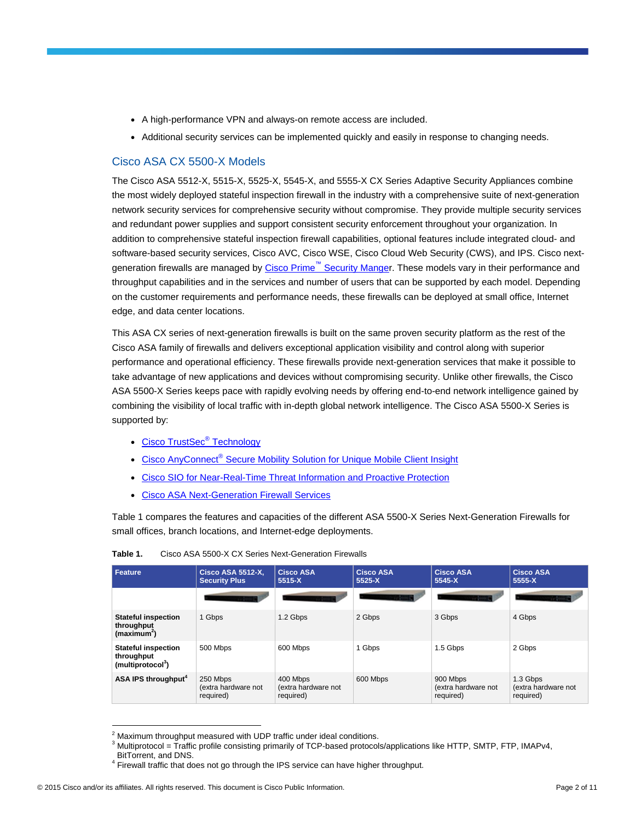- A high-performance VPN and always-on remote access are included.
- Additional security services can be implemented quickly and easily in response to changing needs.

#### Cisco ASA CX 5500-X Models

The Cisco ASA 5512-X, 5515-X, 5525-X, 5545-X, and 5555-X CX Series Adaptive Security Appliances combine the most widely deployed stateful inspection firewall in the industry with a comprehensive suite of next-generation network security services for comprehensive security without compromise. They provide multiple security services and redundant power supplies and support consistent security enforcement throughout your organization. In addition to comprehensive stateful inspection firewall capabilities, optional features include integrated cloud- and software-based security services, Cisco AVC, Cisco WSE, Cisco Cloud Web Security (CWS), and IPS. Cisco nextgeneration firewalls are managed by Cisco Prime™ [Security Manger](http://www.cisco.com/go/prsm). These models vary in their performance and throughput capabilities and in the services and number of users that can be supported by each model. Depending on the customer requirements and performance needs, these firewalls can be deployed at small office, Internet edge, and data center locations.

This ASA CX series of next-generation firewalls is built on the same proven security platform as the rest of the Cisco ASA family of firewalls and delivers exceptional application visibility and control along with superior performance and operational efficiency. These firewalls provide next-generation services that make it possible to take advantage of new applications and devices without compromising security. Unlike other firewalls, the Cisco ASA 5500-X Series keeps pace with rapidly evolving needs by offering end-to-end network intelligence gained by combining the visibility of local traffic with in-depth global network intelligence. The Cisco ASA 5500-X Series is supported by:

- [Cisco TrustSec](http://www.cisco.com/en/US/netsol/ns1051/index.html)<sup>®</sup> Technology
- Cisco AnyConnect<sup>®</sup> [Secure Mobility Solution for Unique Mobile Client Insight](http://www.cisco.com/en/US/netsol/ns1049/index.html)
- Cisco [SIO for Near-Real-Time Threat Information and Proactive Protection](http://tools.cisco.com/security/center/home.x)
- [Cisco ASA Next-Generation Firewall Services](http://www.cisco.com/en/US/products/ps12521/index.html)

Table 1 compares the features and capacities of the different ASA 5500-X Series Next-Generation Firewalls for small offices, branch locations, and Internet-edge deployments.

| Feature                                                                   | <b>Cisco ASA 5512-X.</b><br><b>Security Plus</b> | <b>Cisco ASA</b><br>5515-X                   | <b>Cisco ASA</b><br>5525-X | <b>Cisco ASA</b><br>$5545 - X$               | <b>Cisco ASA</b><br>5555-X                   |
|---------------------------------------------------------------------------|--------------------------------------------------|----------------------------------------------|----------------------------|----------------------------------------------|----------------------------------------------|
|                                                                           |                                                  |                                              |                            |                                              |                                              |
| <b>Stateful inspection</b><br>throughput<br>(maximum <sup>2</sup> )       | 1 Gbps                                           | 1.2 Gbps                                     | 2 Gbps                     | 3 Gbps                                       | 4 Gbps                                       |
| <b>Stateful inspection</b><br>throughput<br>(multiprotocol <sup>3</sup> ) | 500 Mbps                                         | 600 Mbps                                     | 1 Gbps                     | 1.5 Gbps                                     | 2 Gbps                                       |
| ASA IPS throughput <sup>4</sup>                                           | 250 Mbps<br>(extra hardware not<br>required)     | 400 Mbps<br>(extra hardware not<br>required) | 600 Mbps                   | 900 Mbps<br>(extra hardware not<br>required) | 1.3 Gbps<br>(extra hardware not<br>required) |

| Table 1. | Cisco ASA 5500-X CX Series Next-Generation Firewalls |
|----------|------------------------------------------------------|
|          |                                                      |

 $\overline{a}$ 

 $2$  Maximum throughput measured with UDP traffic under ideal conditions.

<sup>&</sup>lt;sup>3</sup> Multiprotocol = Traffic profile consisting primarily of TCP-based protocols/applications like HTTP, SMTP, FTP, IMAPv4,

BitTorrent, and DNS.

 $4$  Firewall traffic that does not go through the IPS service can have higher throughput.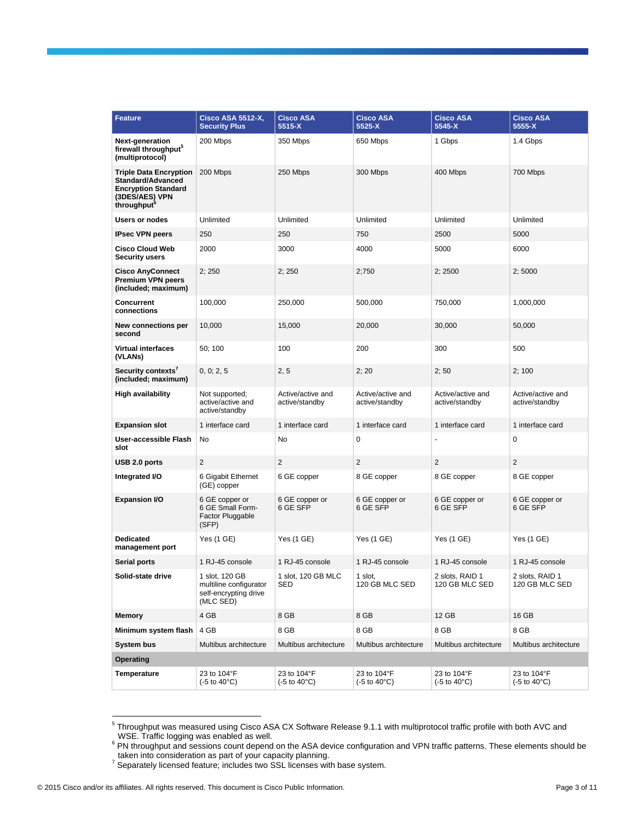| <b>Feature</b>                                                                                                   | <b>Cisco ASA 5512-X,</b><br><b>Security Plus</b>                               | <b>Cisco ASA</b><br>5515-X                           | <b>Cisco ASA</b><br>5525-X                           | <b>Cisco ASA</b><br>5545-X          | <b>Cisco ASA</b><br>5555-X                           |
|------------------------------------------------------------------------------------------------------------------|--------------------------------------------------------------------------------|------------------------------------------------------|------------------------------------------------------|-------------------------------------|------------------------------------------------------|
| Next-generation<br>firewall throughput <sup>3</sup><br>(multiprotocol)                                           | 200 Mbps                                                                       | 350 Mbps                                             | 650 Mbps                                             | 1 Gbps                              | 1.4 Gbps                                             |
| <b>Triple Data Encryption</b><br>Standard/Advanced<br><b>Encryption Standard</b><br>(3DES/AES) VPN<br>throughput | 200 Mbps                                                                       | 250 Mbps                                             | 300 Mbps                                             | 400 Mbps                            | 700 Mbps                                             |
| Users or nodes                                                                                                   | Unlimited                                                                      | Unlimited                                            | Unlimited                                            | Unlimited                           | Unlimited                                            |
| <b>IPsec VPN peers</b>                                                                                           | 250                                                                            | 250                                                  | 750                                                  | 2500                                | 5000                                                 |
| <b>Cisco Cloud Web</b><br>Security users                                                                         | 2000                                                                           | 3000                                                 | 4000                                                 | 5000                                | 6000                                                 |
| <b>Cisco AnyConnect</b><br>Premium VPN peers<br>(included; maximum)                                              | 2; 250                                                                         | 2;250                                                | 2;750                                                | 2;2500                              | 2;5000                                               |
| Concurrent<br>connections                                                                                        | 100,000                                                                        | 250,000                                              | 500,000                                              | 750,000                             | 1,000,000                                            |
| New connections per<br>second                                                                                    | 10,000                                                                         | 15,000                                               | 20,000                                               | 30,000                              | 50,000                                               |
| <b>Virtual interfaces</b><br>(VLANs)                                                                             | 50; 100                                                                        | 100                                                  | 200                                                  | 300                                 | 500                                                  |
| Security contexts $^\prime$<br>(included; maximum)                                                               | 0, 0; 2, 5                                                                     | 2, 5                                                 | 2; 20                                                | 2;50                                | 2:100                                                |
| High availability                                                                                                | Not supported:<br>active/active and<br>active/standby                          | Active/active and<br>active/standby                  | Active/active and<br>active/standby                  | Active/active and<br>active/standby | Active/active and<br>active/standby                  |
| <b>Expansion slot</b>                                                                                            | 1 interface card                                                               | 1 interface card                                     | 1 interface card                                     | 1 interface card                    | 1 interface card                                     |
| User-accessible Flash<br>slot                                                                                    | No                                                                             | No                                                   | $\mathbf 0$                                          |                                     | 0                                                    |
| USB 2.0 ports                                                                                                    | 2                                                                              | $\overline{2}$                                       | $\overline{c}$                                       | 2                                   | $\sqrt{2}$                                           |
| Integrated I/O                                                                                                   | 6 Gigabit Ethernet<br>(GE) copper                                              | 6 GE copper                                          | 8 GE copper                                          | 8 GE copper                         | 8 GE copper                                          |
| <b>Expansion I/O</b>                                                                                             | 6 GE copper or<br>6 GE Small Form-<br>Factor Pluggable<br>(SFP)                | 6 GE copper or<br>6 GE SFP                           | 6 GE copper or<br>6 GE SFP                           | 6 GE copper or<br>6 GE SFP          | 6 GE copper or<br>6 GE SFP                           |
| Dedicated<br>management port                                                                                     | Yes (1 GE)                                                                     | Yes (1 GE)                                           | Yes (1 GE)                                           | Yes (1 GE)                          | Yes (1 GE)                                           |
| <b>Serial ports</b>                                                                                              | 1 RJ-45 console                                                                | 1 RJ-45 console                                      | 1 RJ-45 console                                      | 1 RJ-45 console                     | 1 RJ-45 console                                      |
| Solid-state drive                                                                                                | 1 slot, 120 GB<br>multiline configurator<br>self-encrypting drive<br>(MLC SED) | 1 slot, 120 GB MLC<br>SED                            | 1 slot,<br>120 GB MLC SED                            | 2 slots, RAID 1<br>120 GB MLC SED   | 2 slots, RAID 1<br>120 GB MLC SED                    |
| <b>Memory</b>                                                                                                    | 4 GB                                                                           | 8 GB                                                 | 8 GB                                                 | 12 GB                               | 16 GB                                                |
| Minimum system flash                                                                                             | 4 GB                                                                           | 8 GB                                                 | 8 GB                                                 | 8 GB                                | 8 GB                                                 |
| <b>System bus</b>                                                                                                | Multibus architecture                                                          | Multibus architecture                                | Multibus architecture                                | Multibus architecture               | Multibus architecture                                |
| <b>Operating</b>                                                                                                 |                                                                                |                                                      |                                                      |                                     |                                                      |
| Temperature                                                                                                      | 23 to 104°F<br>(-5 to 40°C)                                                    | 23 to 104°F<br>$(-5 \text{ to } 40^{\circ}\text{C})$ | 23 to 104°F<br>$(-5 \text{ to } 40^{\circ}\text{C})$ | 23 to 104°F<br>(-5 to 40°C)         | 23 to 104°F<br>$(-5 \text{ to } 40^{\circ}\text{C})$ |

 5 Throughput was measured using Cisco ASA CX Software Release 9.1.1 with multiprotocol traffic profile with both AVC and

WSE. Traffic logging was enabled as well.<br><sup>6</sup> PN throughput and sessions count depend on the ASA device configuration and VPN traffic patterns. These elements should be

\_taken into consideration as part of your capacity planning.<br><sup>7</sup> Separately licensed feature; includes two SSL licenses with base system.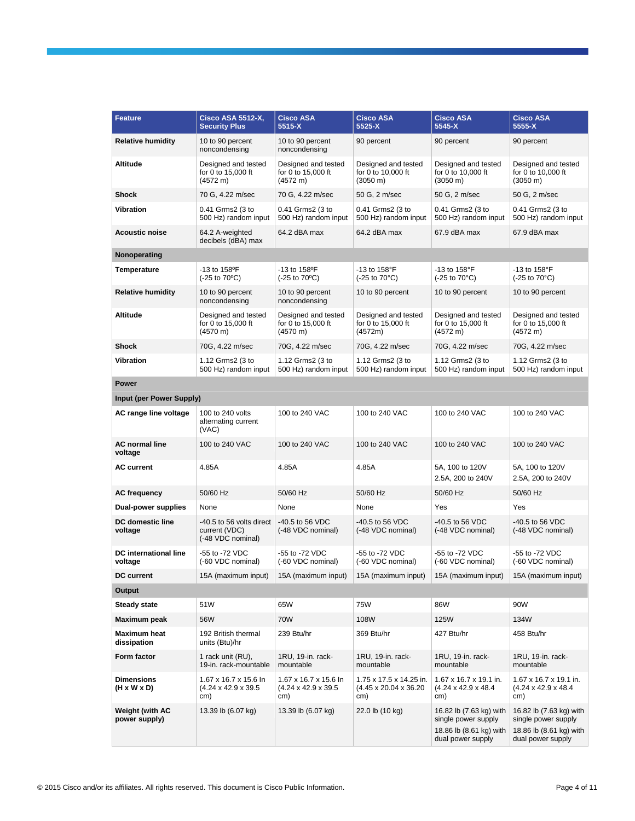| Feature                                 | Cisco ASA 5512-X,<br><b>Security Plus</b>                        | <b>Cisco ASA</b><br>5515-X                                          | <b>Cisco ASA</b><br>5525-X                                           | <b>Cisco ASA</b><br>$5545 - X$                                                                 | <b>Cisco ASA</b><br>$5555-X$                                                                   |
|-----------------------------------------|------------------------------------------------------------------|---------------------------------------------------------------------|----------------------------------------------------------------------|------------------------------------------------------------------------------------------------|------------------------------------------------------------------------------------------------|
| <b>Relative humidity</b>                | 10 to 90 percent<br>noncondensing                                | 10 to 90 percent<br>noncondensing                                   | 90 percent                                                           | 90 percent                                                                                     | 90 percent                                                                                     |
| Altitude                                | Designed and tested<br>for 0 to 15,000 ft<br>(4572 m)            | Designed and tested<br>for 0 to 15,000 ft<br>(4572 m)               | Designed and tested<br>for 0 to 10,000 ft<br>$(3050 \text{ m})$      | Designed and tested<br>for 0 to 10,000 ft<br>$(3050 \text{ m})$                                | Designed and tested<br>for 0 to 10,000 ft<br>$(3050 \text{ m})$                                |
| <b>Shock</b>                            | 70 G, 4.22 m/sec                                                 | 70 G, 4.22 m/sec                                                    | 50 G, 2 m/sec                                                        | 50 G, 2 m/sec                                                                                  | 50 G, 2 m/sec                                                                                  |
| <b>Vibration</b>                        | 0.41 Grms2 (3 to<br>500 Hz) random input                         | 0.41 Grms2 (3 to<br>500 Hz) random input                            | 0.41 Grms2 (3 to<br>500 Hz) random input                             | 0.41 Grms2 (3 to<br>500 Hz) random input                                                       | 0.41 Grms2 (3 to<br>500 Hz) random input                                                       |
| <b>Acoustic noise</b>                   | 64.2 A-weighted<br>decibels (dBA) max                            | 64.2 dBA max                                                        | 64.2 dBA max                                                         | 67.9 dBA max                                                                                   | 67.9 dBA max                                                                                   |
| Nonoperating                            |                                                                  |                                                                     |                                                                      |                                                                                                |                                                                                                |
| <b>Temperature</b>                      | -13 to 158°F<br>$(-25 \text{ to } 70^{\circ}\text{C})$           | -13 to 158 <sup>o</sup> F<br>$(-25 \text{ to } 70^{\circ}\text{C})$ | -13 to 158°F<br>$(-25 \text{ to } 70^{\circ}\text{C})$               | -13 to 158°F<br>$(-25 \text{ to } 70^{\circ}\text{C})$                                         | -13 to $158^{\circ}$ F<br>$(-25 \text{ to } 70^{\circ}\text{C})$                               |
| <b>Relative humidity</b>                | 10 to 90 percent<br>noncondensing                                | 10 to 90 percent<br>noncondensing                                   | 10 to 90 percent                                                     | 10 to 90 percent                                                                               | 10 to 90 percent                                                                               |
| Altitude                                | Designed and tested<br>for 0 to 15,000 ft<br>$(4570 \text{ m})$  | Designed and tested<br>for 0 to 15,000 ft<br>(4570 m)               | Designed and tested<br>for 0 to 15,000 ft<br>(4572m)                 | Designed and tested<br>for 0 to 15,000 ft<br>(4572 m)                                          | Designed and tested<br>for 0 to 15,000 ft<br>(4572 m)                                          |
| Shock                                   | 70G, 4.22 m/sec                                                  | 70G, 4.22 m/sec                                                     | 70G, 4.22 m/sec                                                      | 70G, 4.22 m/sec                                                                                | 70G, 4.22 m/sec                                                                                |
| <b>Vibration</b>                        | 1.12 Grms2 (3 to<br>500 Hz) random input                         | 1.12 Grms2 (3 to<br>500 Hz) random input                            | 1.12 Grms2 (3 to<br>500 Hz) random input                             | 1.12 Grms2 (3 to<br>500 Hz) random input                                                       | 1.12 Grms2 (3 to<br>500 Hz) random input                                                       |
| Power                                   |                                                                  |                                                                     |                                                                      |                                                                                                |                                                                                                |
| Input (per Power Supply)                |                                                                  |                                                                     |                                                                      |                                                                                                |                                                                                                |
| AC range line voltage                   | 100 to 240 volts<br>alternating current<br>(VAC)                 | 100 to 240 VAC                                                      | 100 to 240 VAC                                                       | 100 to 240 VAC                                                                                 | 100 to 240 VAC                                                                                 |
| <b>AC normal line</b><br>voltage        | 100 to 240 VAC                                                   | 100 to 240 VAC                                                      | 100 to 240 VAC                                                       | 100 to 240 VAC                                                                                 | 100 to 240 VAC                                                                                 |
| <b>AC current</b>                       | 4.85A                                                            | 4.85A                                                               | 4.85A                                                                | 5A, 100 to 120V<br>2.5A, 200 to 240V                                                           | 5A, 100 to 120V<br>2.5A, 200 to 240V                                                           |
| <b>AC frequency</b>                     | 50/60 Hz                                                         | 50/60 Hz                                                            | 50/60 Hz                                                             | 50/60 Hz                                                                                       | 50/60 Hz                                                                                       |
| Dual-power supplies                     | None                                                             | None                                                                | None                                                                 | Yes                                                                                            | Yes                                                                                            |
| <b>DC</b> domestic line<br>voltage      | -40.5 to 56 volts direct<br>current (VDC)<br>(-48 VDC nominal)   | -40.5 to 56 VDC<br>(-48 VDC nominal)                                | -40.5 to 56 VDC<br>(-48 VDC nominal)                                 | -40.5 to 56 VDC<br>(-48 VDC nominal)                                                           | -40.5 to 56 VDC<br>(-48 VDC nominal)                                                           |
| DC international line<br>voltage        | -55 to -72 VDC<br>(-60 VDC nominal)                              | -55 to -72 VDC<br>(-60 VDC nominal)                                 | -55 to -72 VDC<br>(-60 VDC nominal)                                  | -55 to -72 VDC<br>(-60 VDC nominal)                                                            | -55 to -72 VDC<br>(-60 VDC nominal)                                                            |
| <b>DC current</b>                       | 15A (maximum input)                                              | 15A (maximum input)                                                 | 15A (maximum input)                                                  | 15A (maximum input)                                                                            | 15A (maximum input)                                                                            |
| Output                                  |                                                                  |                                                                     |                                                                      |                                                                                                |                                                                                                |
| <b>Steady state</b>                     | 51W                                                              | 65W                                                                 | 75W                                                                  | 86W                                                                                            | 90W                                                                                            |
| Maximum peak                            | 56W                                                              | 70W                                                                 | 108W                                                                 | 125W                                                                                           | 134W                                                                                           |
| <b>Maximum heat</b><br>dissipation      | 192 British thermal<br>units (Btu)/hr                            | 239 Btu/hr                                                          | 369 Btu/hr                                                           | 427 Btu/hr                                                                                     | 458 Btu/hr                                                                                     |
| Form factor                             | 1 rack unit (RU),<br>19-in. rack-mountable                       | 1RU, 19-in. rack-<br>mountable                                      | 1RU, 19-in. rack-<br>mountable                                       | 1RU, 19-in. rack-<br>mountable                                                                 | 1RU, 19-in. rack-<br>mountable                                                                 |
| <b>Dimensions</b><br>(H x W x D)        | 1.67 x 16.7 x 15.6 ln<br>$(4.24 \times 42.9 \times 39.5)$<br>cm) | 1.67 x 16.7 x 15.6 ln<br>$(4.24 \times 42.9 \times 39.5$<br>cm)     | 1.75 x 17.5 x 14.25 in.<br>$(4.45 \times 20.04 \times 36.20)$<br>cm) | 1.67 x 16.7 x 19.1 in.<br>$(4.24 \times 42.9 \times 48.4)$<br>cm)                              | 1.67 x 16.7 x 19.1 in.<br>$(4.24 \times 42.9 \times 48.4)$<br>cm)                              |
| <b>Weight (with AC</b><br>power supply) | 13.39 lb (6.07 kg)                                               | 13.39 lb (6.07 kg)                                                  | 22.0 lb (10 kg)                                                      | 16.82 lb (7.63 kg) with<br>single power supply<br>18.86 lb (8.61 kg) with<br>dual power supply | 16.82 lb (7.63 kg) with<br>single power supply<br>18.86 lb (8.61 kg) with<br>dual power supply |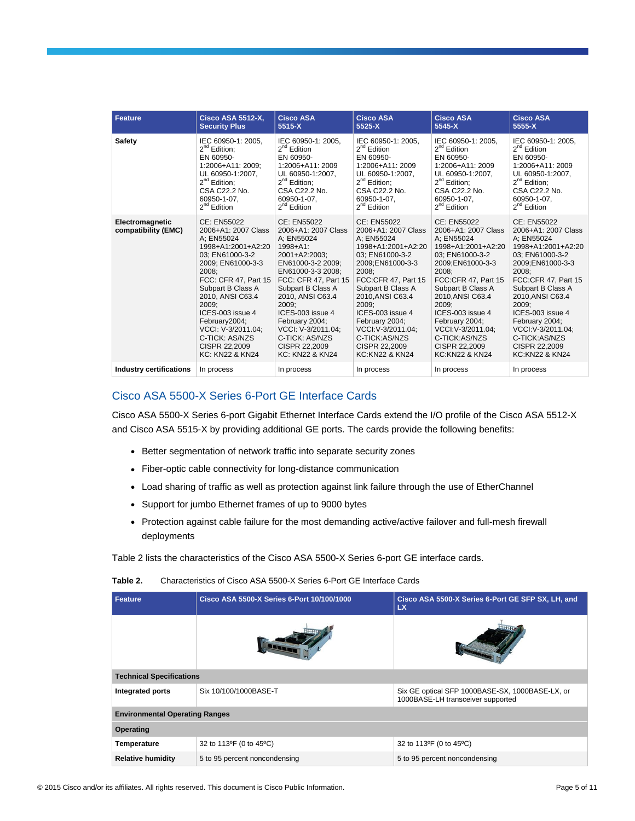| <b>Feature</b>                         | <b>Cisco ASA 5512-X,</b>                                                                                                                                                                                                                                                                                                      | <b>Cisco ASA</b>                                                                                                                                                                                                                                                                                                                    | <b>Cisco ASA</b>                                                                                                                                                                                                                                                                                                           | <b>Cisco ASA</b>                                                                                                                                                                                                                                                                                                           | <b>Cisco ASA</b>                                                                                                                                                                                                                                                                                                           |
|----------------------------------------|-------------------------------------------------------------------------------------------------------------------------------------------------------------------------------------------------------------------------------------------------------------------------------------------------------------------------------|-------------------------------------------------------------------------------------------------------------------------------------------------------------------------------------------------------------------------------------------------------------------------------------------------------------------------------------|----------------------------------------------------------------------------------------------------------------------------------------------------------------------------------------------------------------------------------------------------------------------------------------------------------------------------|----------------------------------------------------------------------------------------------------------------------------------------------------------------------------------------------------------------------------------------------------------------------------------------------------------------------------|----------------------------------------------------------------------------------------------------------------------------------------------------------------------------------------------------------------------------------------------------------------------------------------------------------------------------|
|                                        | <b>Security Plus</b>                                                                                                                                                                                                                                                                                                          | 5515-X                                                                                                                                                                                                                                                                                                                              | $5525-X$                                                                                                                                                                                                                                                                                                                   | 5545-X                                                                                                                                                                                                                                                                                                                     | 5555-X                                                                                                                                                                                                                                                                                                                     |
| Safety                                 | IEC 60950-1: 2005.                                                                                                                                                                                                                                                                                                            | IEC 60950-1: 2005.                                                                                                                                                                                                                                                                                                                  | IEC 60950-1: 2005.                                                                                                                                                                                                                                                                                                         | IEC 60950-1: 2005,                                                                                                                                                                                                                                                                                                         | IEC 60950-1: 2005.                                                                                                                                                                                                                                                                                                         |
|                                        | $2^{nd}$ Edition;                                                                                                                                                                                                                                                                                                             | $2^{nd}$ Edition                                                                                                                                                                                                                                                                                                                    | $2^{nd}$ Edition                                                                                                                                                                                                                                                                                                           | $2^{nd}$ Edition                                                                                                                                                                                                                                                                                                           | $2^{nd}$ Edition                                                                                                                                                                                                                                                                                                           |
|                                        | EN 60950-                                                                                                                                                                                                                                                                                                                     | EN 60950-                                                                                                                                                                                                                                                                                                                           | EN 60950-                                                                                                                                                                                                                                                                                                                  | EN 60950-                                                                                                                                                                                                                                                                                                                  | EN 60950-                                                                                                                                                                                                                                                                                                                  |
|                                        | 1:2006+A11: 2009;                                                                                                                                                                                                                                                                                                             | 1:2006+A11: 2009                                                                                                                                                                                                                                                                                                                    | 1:2006+A11: 2009                                                                                                                                                                                                                                                                                                           | 1:2006+A11: 2009                                                                                                                                                                                                                                                                                                           | 1:2006+A11: 2009                                                                                                                                                                                                                                                                                                           |
|                                        | UL 60950-1:2007.                                                                                                                                                                                                                                                                                                              | UL 60950-1:2007.                                                                                                                                                                                                                                                                                                                    | UL 60950-1:2007.                                                                                                                                                                                                                                                                                                           | UL 60950-1:2007.                                                                                                                                                                                                                                                                                                           | UL 60950-1:2007.                                                                                                                                                                                                                                                                                                           |
|                                        | 2 <sup>nd</sup> Edition;                                                                                                                                                                                                                                                                                                      | $2^{nd}$ Edition;                                                                                                                                                                                                                                                                                                                   | 2 <sup>nd</sup> Edition;                                                                                                                                                                                                                                                                                                   | $2^{nd}$ Edition;                                                                                                                                                                                                                                                                                                          | $2^{nd}$ Edition;                                                                                                                                                                                                                                                                                                          |
|                                        | CSA C22.2 No.                                                                                                                                                                                                                                                                                                                 | CSA C22.2 No.                                                                                                                                                                                                                                                                                                                       | CSA C22.2 No.                                                                                                                                                                                                                                                                                                              | CSA C22.2 No.                                                                                                                                                                                                                                                                                                              | CSA C22.2 No.                                                                                                                                                                                                                                                                                                              |
|                                        | 60950-1-07.                                                                                                                                                                                                                                                                                                                   | 60950-1-07.                                                                                                                                                                                                                                                                                                                         | 60950-1-07.                                                                                                                                                                                                                                                                                                                | 60950-1-07.                                                                                                                                                                                                                                                                                                                | 60950-1-07.                                                                                                                                                                                                                                                                                                                |
|                                        | $2^{nd}$ Edition                                                                                                                                                                                                                                                                                                              | $2^{nd}$ Edition                                                                                                                                                                                                                                                                                                                    | $2nd$ Edition                                                                                                                                                                                                                                                                                                              | $2^{nd}$ Edition                                                                                                                                                                                                                                                                                                           | $2^{nd}$ Edition                                                                                                                                                                                                                                                                                                           |
| Electromagnetic<br>compatibility (EMC) | CE: EN55022<br>2006+A1: 2007 Class<br>A: EN55024<br>1998+A1:2001+A2:20<br>03: EN61000-3-2<br>2009; EN61000-3-3<br>2008:<br>FCC: CFR 47, Part 15<br>Subpart B Class A<br>2010, ANSI C63.4<br>2009:<br>ICES-003 issue 4<br>February2004;<br>VCCI: V-3/2011.04:<br>C-TICK: AS/NZS<br>CISPR 22,2009<br><b>KC: KN22 &amp; KN24</b> | CE: EN55022<br>2006+A1: 2007 Class<br>A: EN55024<br>$1998 + A1$ :<br>2001+A2:2003:<br>EN61000-3-2 2009:<br>EN61000-3-3 2008:<br>FCC: CFR 47, Part 15<br>Subpart B Class A<br>2010, ANSI C63.4<br>2009:<br>ICES-003 issue 4<br>February 2004;<br>VCCI: V-3/2011.04:<br>C-TICK: AS/NZS<br>CISPR 22,2009<br><b>KC: KN22 &amp; KN24</b> | CE: EN55022<br>2006+A1: 2007 Class<br>A: EN55024<br>1998+A1:2001+A2:20<br>03: EN61000-3-2<br>2009:EN61000-3-3<br>2008:<br>FCC:CFR 47, Part 15<br>Subpart B Class A<br>2010, ANSI C63.4<br>2009:<br>ICES-003 issue 4<br>February 2004;<br>VCCI: V-3/2011.04:<br>C-TICK:AS/NZS<br>CISPR 22,2009<br><b>KC:KN22 &amp; KN24</b> | CE: EN55022<br>2006+A1: 2007 Class<br>A: EN55024<br>1998+A1:2001+A2:20<br>03: EN61000-3-2<br>2009:EN61000-3-3<br>2008:<br>FCC:CFR 47, Part 15<br>Subpart B Class A<br>2010, ANSI C63.4<br>2009:<br>ICES-003 issue 4<br>February 2004;<br>VCCI: V-3/2011.04;<br>C-TICK:AS/NZS<br>CISPR 22,2009<br><b>KC:KN22 &amp; KN24</b> | CE: EN55022<br>2006+A1: 2007 Class<br>A: EN55024<br>1998+A1:2001+A2:20<br>03: EN61000-3-2<br>2009:EN61000-3-3<br>2008;<br>FCC:CFR 47, Part 15<br>Subpart B Class A<br>2010, ANSI C63.4<br>2009:<br>ICES-003 issue 4<br>February 2004;<br>VCCI: V-3/2011.04:<br>C-TICK:AS/NZS<br>CISPR 22,2009<br><b>KC:KN22 &amp; KN24</b> |
| <b>Industry certifications</b>         | In process                                                                                                                                                                                                                                                                                                                    | In process                                                                                                                                                                                                                                                                                                                          | In process                                                                                                                                                                                                                                                                                                                 | In process                                                                                                                                                                                                                                                                                                                 | In process                                                                                                                                                                                                                                                                                                                 |

#### Cisco ASA 5500-X Series 6-Port GE Interface Cards

Cisco ASA 5500-X Series 6-port Gigabit Ethernet Interface Cards extend the I/O profile of the Cisco ASA 5512-X and Cisco ASA 5515-X by providing additional GE ports. The cards provide the following benefits:

- Better segmentation of network traffic into separate security zones
- Fiber-optic cable connectivity for long-distance communication
- Load sharing of traffic as well as protection against link failure through the use of EtherChannel
- Support for jumbo Ethernet frames of up to 9000 bytes
- Protection against cable failure for the most demanding active/active failover and full-mesh firewall deployments

Table 2 lists the characteristics of the Cisco ASA 5500-X Series 6-port GE interface cards.

| Feature                               | Cisco ASA 5500-X Series 6-Port 10/100/1000 | Cisco ASA 5500-X Series 6-Port GE SFP SX, LH, and<br>LX                              |  |
|---------------------------------------|--------------------------------------------|--------------------------------------------------------------------------------------|--|
|                                       |                                            |                                                                                      |  |
| <b>Technical Specifications</b>       |                                            |                                                                                      |  |
| Integrated ports                      | Six 10/100/1000BASE-T                      | Six GE optical SFP 1000BASE-SX, 1000BASE-LX, or<br>1000BASE-LH transceiver supported |  |
| <b>Environmental Operating Ranges</b> |                                            |                                                                                      |  |
| Operating                             |                                            |                                                                                      |  |
| <b>Temperature</b>                    | 32 to 113°F (0 to 45°C)                    | 32 to 113°F (0 to 45°C)                                                              |  |
| <b>Relative humidity</b>              | 5 to 95 percent noncondensing              | 5 to 95 percent noncondensing                                                        |  |

#### **Table 2.** Characteristics of Cisco ASA 5500-X Series 6-Port GE Interface Cards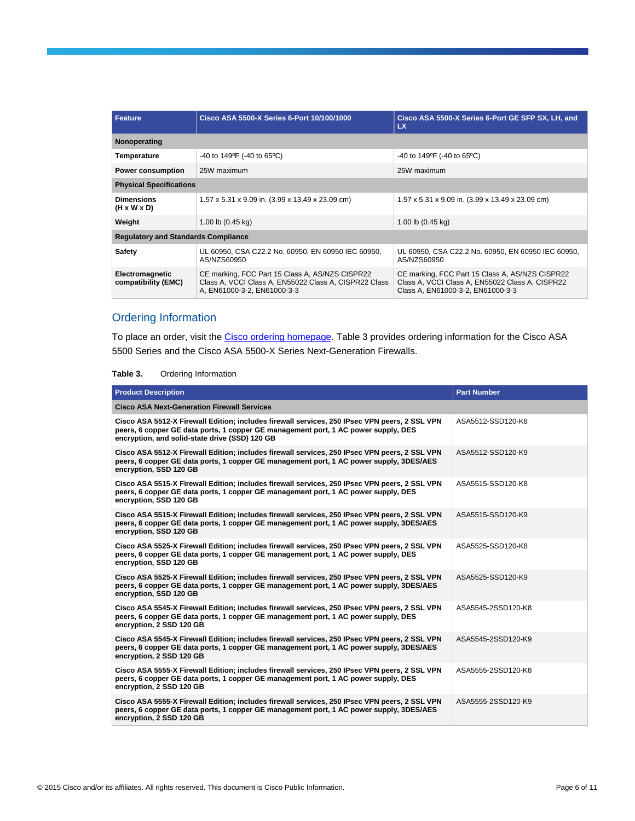| <b>Feature</b>                               | Cisco ASA 5500-X Series 6-Port 10/100/1000                                                                                              | Cisco ASA 5500-X Series 6-Port GE SFP SX, LH, and<br><b>LX</b>                                                                          |  |  |
|----------------------------------------------|-----------------------------------------------------------------------------------------------------------------------------------------|-----------------------------------------------------------------------------------------------------------------------------------------|--|--|
| Nonoperating                                 |                                                                                                                                         |                                                                                                                                         |  |  |
| Temperature                                  | -40 to 149°F (-40 to 65°C)                                                                                                              | -40 to 149°F (-40 to 65°C)                                                                                                              |  |  |
| <b>Power consumption</b>                     | 25W maximum                                                                                                                             | 25W maximum                                                                                                                             |  |  |
| <b>Physical Specifications</b>               |                                                                                                                                         |                                                                                                                                         |  |  |
| <b>Dimensions</b><br>$(H \times W \times D)$ | 1.57 x 5.31 x 9.09 in. (3.99 x 13.49 x 23.09 cm)                                                                                        | 1.57 x 5.31 x 9.09 in. (3.99 x 13.49 x 23.09 cm)                                                                                        |  |  |
| Weight                                       | 1.00 lb (0.45 kg)                                                                                                                       | 1.00 lb (0.45 kg)                                                                                                                       |  |  |
| <b>Regulatory and Standards Compliance</b>   |                                                                                                                                         |                                                                                                                                         |  |  |
| <b>Safety</b>                                | UL 60950, CSA C22.2 No. 60950, EN 60950 IEC 60950,<br>AS/NZS60950                                                                       | UL 60950, CSA C22.2 No. 60950, EN 60950 IEC 60950,<br>AS/NZS60950                                                                       |  |  |
| Electromagnetic<br>compatibility (EMC)       | CE marking, FCC Part 15 Class A, AS/NZS CISPR22<br>Class A, VCCI Class A, EN55022 Class A, CISPR22 Class<br>A, EN61000-3-2, EN61000-3-3 | CE marking, FCC Part 15 Class A, AS/NZS CISPR22<br>Class A, VCCI Class A, EN55022 Class A, CISPR22<br>Class A, EN61000-3-2, EN61000-3-3 |  |  |

### Ordering Information

To place an order, visit th[e Cisco ordering homepage.](http://www.cisco.com/en/US/ordering/or13/or8/order_customer_help_how_to_order_listing.html) Table 3 provides ordering information for the Cisco ASA 5500 Series and the Cisco ASA 5500-X Series Next-Generation Firewalls.

#### **Table 3.** Ordering Information

| <b>Product Description</b>                                                                                                                                                                                                            | <b>Part Number</b> |
|---------------------------------------------------------------------------------------------------------------------------------------------------------------------------------------------------------------------------------------|--------------------|
| <b>Cisco ASA Next-Generation Firewall Services</b>                                                                                                                                                                                    |                    |
| Cisco ASA 5512-X Firewall Edition; includes firewall services, 250 IPsec VPN peers, 2 SSL VPN<br>peers, 6 copper GE data ports, 1 copper GE management port, 1 AC power supply, DES<br>encryption, and solid-state drive (SSD) 120 GB | ASA5512-SSD120-K8  |
| Cisco ASA 5512-X Firewall Edition; includes firewall services, 250 IPsec VPN peers, 2 SSL VPN<br>peers, 6 copper GE data ports, 1 copper GE management port, 1 AC power supply, 3DES/AES<br>encryption, SSD 120 GB                    | ASA5512-SSD120-K9  |
| Cisco ASA 5515-X Firewall Edition; includes firewall services, 250 IPsec VPN peers, 2 SSL VPN<br>peers, 6 copper GE data ports, 1 copper GE management port, 1 AC power supply, DES<br>encryption, SSD 120 GB                         | ASA5515-SSD120-K8  |
| Cisco ASA 5515-X Firewall Edition; includes firewall services, 250 IPsec VPN peers, 2 SSL VPN<br>peers, 6 copper GE data ports, 1 copper GE management port, 1 AC power supply, 3DES/AES<br>encryption, SSD 120 GB                    | ASA5515-SSD120-K9  |
| Cisco ASA 5525-X Firewall Edition; includes firewall services, 250 IPsec VPN peers, 2 SSL VPN<br>peers, 6 copper GE data ports, 1 copper GE management port, 1 AC power supply, DES<br>encryption, SSD 120 GB                         | ASA5525-SSD120-K8  |
| Cisco ASA 5525-X Firewall Edition; includes firewall services, 250 IPsec VPN peers, 2 SSL VPN<br>peers, 6 copper GE data ports, 1 copper GE management port, 1 AC power supply, 3DES/AES<br>encryption, SSD 120 GB                    | ASA5525-SSD120-K9  |
| Cisco ASA 5545-X Firewall Edition; includes firewall services, 250 IPsec VPN peers, 2 SSL VPN<br>peers, 6 copper GE data ports, 1 copper GE management port, 1 AC power supply, DES<br>encryption, 2 SSD 120 GB                       | ASA5545-2SSD120-K8 |
| Cisco ASA 5545-X Firewall Edition; includes firewall services, 250 IPsec VPN peers, 2 SSL VPN<br>peers, 6 copper GE data ports, 1 copper GE management port, 1 AC power supply, 3DES/AES<br>encryption, 2 SSD 120 GB                  | ASA5545-2SSD120-K9 |
| Cisco ASA 5555-X Firewall Edition; includes firewall services, 250 IPsec VPN peers, 2 SSL VPN<br>peers, 6 copper GE data ports, 1 copper GE management port, 1 AC power supply, DES<br>encryption, 2 SSD 120 GB                       | ASA5555-2SSD120-K8 |
| Cisco ASA 5555-X Firewall Edition; includes firewall services, 250 IPsec VPN peers, 2 SSL VPN<br>peers, 6 copper GE data ports, 1 copper GE management port, 1 AC power supply, 3DES/AES<br>encryption, 2 SSD 120 GB                  | ASA5555-2SSD120-K9 |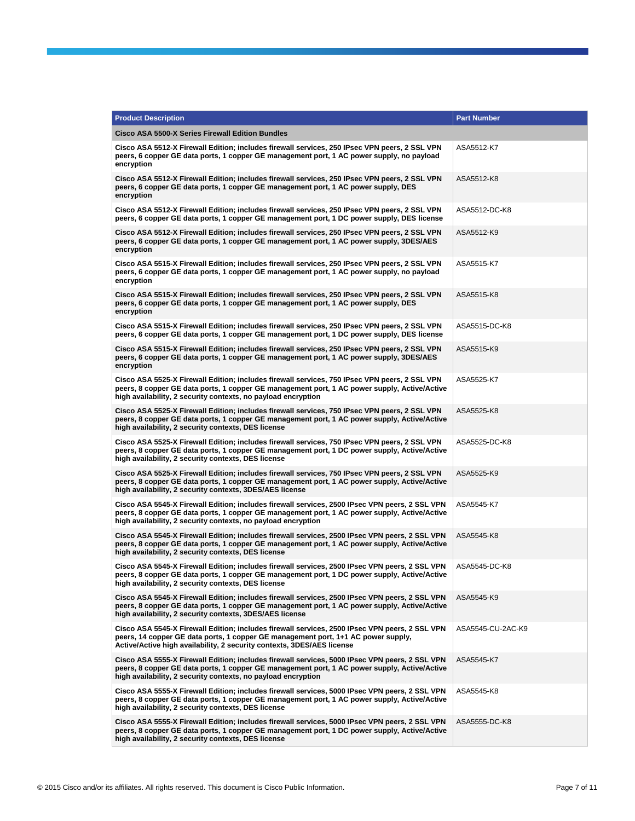| <b>Product Description</b>                                                                                                                                                                                                                                      | <b>Part Number</b> |
|-----------------------------------------------------------------------------------------------------------------------------------------------------------------------------------------------------------------------------------------------------------------|--------------------|
| Cisco ASA 5500-X Series Firewall Edition Bundles                                                                                                                                                                                                                |                    |
| Cisco ASA 5512-X Firewall Edition; includes firewall services, 250 IPsec VPN peers, 2 SSL VPN<br>peers, 6 copper GE data ports, 1 copper GE management port, 1 AC power supply, no payload<br>encryption                                                        | ASA5512-K7         |
| Cisco ASA 5512-X Firewall Edition; includes firewall services, 250 IPsec VPN peers, 2 SSL VPN<br>peers, 6 copper GE data ports, 1 copper GE management port, 1 AC power supply, DES<br>encryption                                                               | ASA5512-K8         |
| Cisco ASA 5512-X Firewall Edition; includes firewall services, 250 IPsec VPN peers, 2 SSL VPN<br>peers, 6 copper GE data ports, 1 copper GE management port, 1 DC power supply, DES license                                                                     | ASA5512-DC-K8      |
| Cisco ASA 5512-X Firewall Edition; includes firewall services, 250 IPsec VPN peers, 2 SSL VPN<br>peers, 6 copper GE data ports, 1 copper GE management port, 1 AC power supply, 3DES/AES<br>encryption                                                          | ASA5512-K9         |
| Cisco ASA 5515-X Firewall Edition; includes firewall services, 250 IPsec VPN peers, 2 SSL VPN<br>peers, 6 copper GE data ports, 1 copper GE management port, 1 AC power supply, no payload<br>encryption                                                        | ASA5515-K7         |
| Cisco ASA 5515-X Firewall Edition; includes firewall services, 250 IPsec VPN peers, 2 SSL VPN<br>peers, 6 copper GE data ports, 1 copper GE management port, 1 AC power supply, DES<br>encryption                                                               | ASA5515-K8         |
| Cisco ASA 5515-X Firewall Edition; includes firewall services, 250 IPsec VPN peers, 2 SSL VPN<br>peers, 6 copper GE data ports, 1 copper GE management port, 1 DC power supply, DES license                                                                     | ASA5515-DC-K8      |
| Cisco ASA 5515-X Firewall Edition; includes firewall services, 250 IPsec VPN peers, 2 SSL VPN<br>peers, 6 copper GE data ports, 1 copper GE management port, 1 AC power supply, 3DES/AES<br>encryption                                                          | ASA5515-K9         |
| Cisco ASA 5525-X Firewall Edition; includes firewall services, 750 IPsec VPN peers, 2 SSL VPN<br>peers, 8 copper GE data ports, 1 copper GE management port, 1 AC power supply, Active/Active<br>high availability, 2 security contexts, no payload encryption  | ASA5525-K7         |
| Cisco ASA 5525-X Firewall Edition; includes firewall services, 750 IPsec VPN peers, 2 SSL VPN<br>peers, 8 copper GE data ports, 1 copper GE management port, 1 AC power supply, Active/Active<br>high availability, 2 security contexts, DES license            | ASA5525-K8         |
| Cisco ASA 5525-X Firewall Edition; includes firewall services, 750 IPsec VPN peers, 2 SSL VPN<br>peers, 8 copper GE data ports, 1 copper GE management port, 1 DC power supply, Active/Active<br>high availability, 2 security contexts, DES license            | ASA5525-DC-K8      |
| Cisco ASA 5525-X Firewall Edition; includes firewall services, 750 IPsec VPN peers, 2 SSL VPN<br>peers, 8 copper GE data ports, 1 copper GE management port, 1 AC power supply, Active/Active<br>high availability, 2 security contexts, 3DES/AES license       | ASA5525-K9         |
| Cisco ASA 5545-X Firewall Edition; includes firewall services, 2500 IPsec VPN peers, 2 SSL VPN<br>peers, 8 copper GE data ports, 1 copper GE management port, 1 AC power supply, Active/Active<br>high availability, 2 security contexts, no payload encryption | ASA5545-K7         |
| Cisco ASA 5545-X Firewall Edition; includes firewall services, 2500 IPsec VPN peers, 2 SSL VPN<br>peers, 8 copper GE data ports, 1 copper GE management port, 1 AC power supply, Active/Active<br>high availability, 2 security contexts, DES license           | ASA5545-K8         |
| Cisco ASA 5545-X Firewall Edition; includes firewall services, 2500 IPsec VPN peers, 2 SSL VPN<br>peers, 8 copper GE data ports, 1 copper GE management port, 1 DC power supply, Active/Active<br>high availability, 2 security contexts, DES license           | ASA5545-DC-K8      |
| Cisco ASA 5545-X Firewall Edition; includes firewall services, 2500 IPsec VPN peers, 2 SSL VPN<br>peers, 8 copper GE data ports, 1 copper GE management port, 1 AC power supply, Active/Active<br>high availability, 2 security contexts, 3DES/AES license      | ASA5545-K9         |
| Cisco ASA 5545-X Firewall Edition; includes firewall services, 2500 IPsec VPN peers, 2 SSL VPN<br>peers, 14 copper GE data ports, 1 copper GE management port, 1+1 AC power supply,<br>Active/Active high availability, 2 security contexts, 3DES/AES license   | ASA5545-CU-2AC-K9  |
| Cisco ASA 5555-X Firewall Edition; includes firewall services, 5000 IPsec VPN peers, 2 SSL VPN<br>peers, 8 copper GE data ports, 1 copper GE management port, 1 AC power supply, Active/Active<br>high availability, 2 security contexts, no payload encryption | ASA5545-K7         |
| Cisco ASA 5555-X Firewall Edition; includes firewall services, 5000 IPsec VPN peers, 2 SSL VPN<br>peers, 8 copper GE data ports, 1 copper GE management port, 1 AC power supply, Active/Active<br>high availability, 2 security contexts, DES license           | ASA5545-K8         |
| Cisco ASA 5555-X Firewall Edition; includes firewall services, 5000 IPsec VPN peers, 2 SSL VPN<br>peers, 8 copper GE data ports, 1 copper GE management port, 1 DC power supply, Active/Active<br>high availability, 2 security contexts, DES license           | ASA5555-DC-K8      |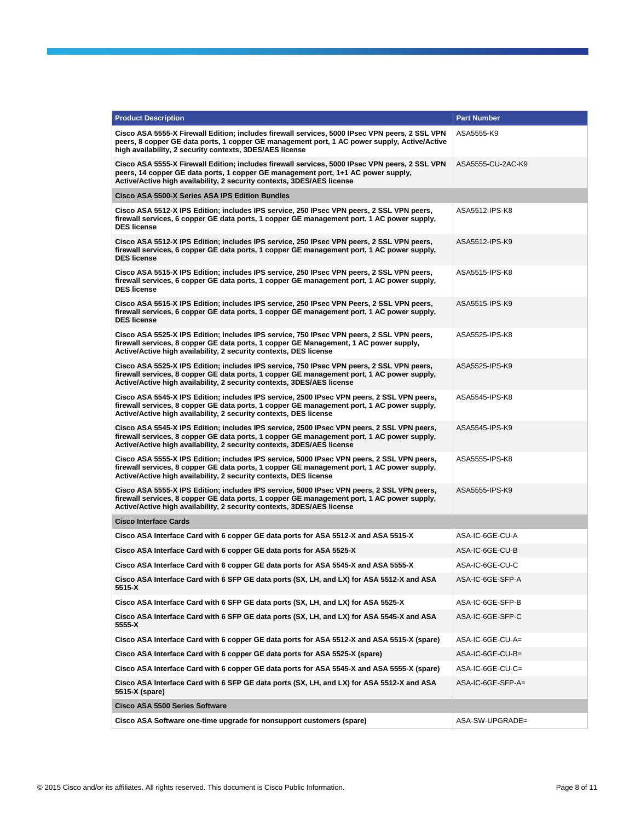| <b>Product Description</b>                                                                                                                                                                                                                                         | <b>Part Number</b> |
|--------------------------------------------------------------------------------------------------------------------------------------------------------------------------------------------------------------------------------------------------------------------|--------------------|
| Cisco ASA 5555-X Firewall Edition; includes firewall services, 5000 IPsec VPN peers, 2 SSL VPN<br>peers, 8 copper GE data ports, 1 copper GE management port, 1 AC power supply, Active/Active<br>high availability, 2 security contexts, 3DES/AES license         | ASA5555-K9         |
| Cisco ASA 5555-X Firewall Edition; includes firewall services, 5000 IPsec VPN peers, 2 SSL VPN<br>peers, 14 copper GE data ports, 1 copper GE management port, 1+1 AC power supply,<br>Active/Active high availability, 2 security contexts, 3DES/AES license      | ASA5555-CU-2AC-K9  |
| Cisco ASA 5500-X Series ASA IPS Edition Bundles                                                                                                                                                                                                                    |                    |
| Cisco ASA 5512-X IPS Edition; includes IPS service, 250 IPsec VPN peers, 2 SSL VPN peers,<br>firewall services, 6 copper GE data ports, 1 copper GE management port, 1 AC power supply,<br><b>DES license</b>                                                      | ASA5512-IPS-K8     |
| Cisco ASA 5512-X IPS Edition; includes IPS service, 250 IPsec VPN peers, 2 SSL VPN peers,<br>firewall services, 6 copper GE data ports, 1 copper GE management port, 1 AC power supply,<br><b>DES license</b>                                                      | ASA5512-IPS-K9     |
| Cisco ASA 5515-X IPS Edition; includes IPS service, 250 IPsec VPN peers, 2 SSL VPN peers,<br>firewall services, 6 copper GE data ports, 1 copper GE management port, 1 AC power supply,<br><b>DES license</b>                                                      | ASA5515-IPS-K8     |
| Cisco ASA 5515-X IPS Edition; includes IPS service, 250 IPsec VPN Peers, 2 SSL VPN peers,<br>firewall services, 6 copper GE data ports, 1 copper GE management port, 1 AC power supply,<br><b>DES license</b>                                                      | ASA5515-IPS-K9     |
| Cisco ASA 5525-X IPS Edition; includes IPS service, 750 IPsec VPN peers, 2 SSL VPN peers,<br>firewall services, 8 copper GE data ports, 1 copper GE Management, 1 AC power supply,<br>Active/Active high availability, 2 security contexts, DES license            | ASA5525-IPS-K8     |
| Cisco ASA 5525-X IPS Edition; includes IPS service, 750 IPsec VPN peers, 2 SSL VPN peers,<br>firewall services, 8 copper GE data ports, 1 copper GE management port, 1 AC power supply,<br>Active/Active high availability, 2 security contexts, 3DES/AES license  | ASA5525-IPS-K9     |
| Cisco ASA 5545-X IPS Edition; includes IPS service, 2500 IPsec VPN peers, 2 SSL VPN peers,<br>firewall services, 8 copper GE data ports, 1 copper GE management port, 1 AC power supply,<br>Active/Active high availability, 2 security contexts, DES license      | ASA5545-IPS-K8     |
| Cisco ASA 5545-X IPS Edition; includes IPS service, 2500 IPsec VPN peers, 2 SSL VPN peers,<br>firewall services, 8 copper GE data ports, 1 copper GE management port, 1 AC power supply,<br>Active/Active high availability, 2 security contexts, 3DES/AES license | ASA5545-IPS-K9     |
| Cisco ASA 5555-X IPS Edition; includes IPS service, 5000 IPsec VPN peers, 2 SSL VPN peers,<br>firewall services, 8 copper GE data ports, 1 copper GE management port, 1 AC power supply,<br>Active/Active high availability, 2 security contexts, DES license      | ASA5555-IPS-K8     |
| Cisco ASA 5555-X IPS Edition; includes IPS service, 5000 IPsec VPN peers, 2 SSL VPN peers,<br>firewall services, 8 copper GE data ports, 1 copper GE management port, 1 AC power supply,<br>Active/Active high availability, 2 security contexts, 3DES/AES license | ASA5555-IPS-K9     |
| <b>Cisco Interface Cards</b>                                                                                                                                                                                                                                       |                    |
| Cisco ASA Interface Card with 6 copper GE data ports for ASA 5512-X and ASA 5515-X                                                                                                                                                                                 | ASA-IC-6GE-CU-A    |
| Cisco ASA Interface Card with 6 copper GE data ports for ASA 5525-X                                                                                                                                                                                                | ASA-IC-6GE-CU-B    |
| Cisco ASA Interface Card with 6 copper GE data ports for ASA 5545-X and ASA 5555-X                                                                                                                                                                                 | ASA-IC-6GE-CU-C    |
| Cisco ASA Interface Card with 6 SFP GE data ports (SX, LH, and LX) for ASA 5512-X and ASA<br>5515-X                                                                                                                                                                | ASA-IC-6GE-SFP-A   |
| Cisco ASA Interface Card with 6 SFP GE data ports (SX, LH, and LX) for ASA 5525-X                                                                                                                                                                                  | ASA-IC-6GE-SFP-B   |
| Cisco ASA Interface Card with 6 SFP GE data ports (SX, LH, and LX) for ASA 5545-X and ASA<br>5555-X                                                                                                                                                                | ASA-IC-6GE-SFP-C   |
| Cisco ASA Interface Card with 6 copper GE data ports for ASA 5512-X and ASA 5515-X (spare)                                                                                                                                                                         | ASA-IC-6GE-CU-A=   |
| Cisco ASA Interface Card with 6 copper GE data ports for ASA 5525-X (spare)                                                                                                                                                                                        | ASA-IC-6GE-CU-B=   |
| Cisco ASA Interface Card with 6 copper GE data ports for ASA 5545-X and ASA 5555-X (spare)                                                                                                                                                                         | ASA-IC-6GE-CU-C=   |
| Cisco ASA Interface Card with 6 SFP GE data ports (SX, LH, and LX) for ASA 5512-X and ASA<br>5515-X (spare)                                                                                                                                                        | ASA-IC-6GE-SFP-A=  |
| <b>Cisco ASA 5500 Series Software</b>                                                                                                                                                                                                                              |                    |
| Cisco ASA Software one-time upgrade for nonsupport customers (spare)                                                                                                                                                                                               | ASA-SW-UPGRADE=    |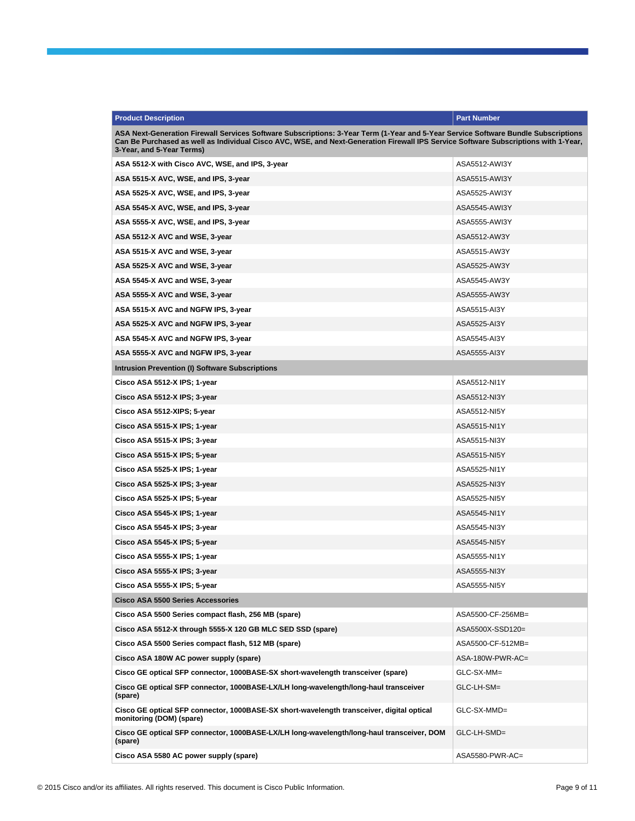| <b>Product Description</b>                                                                                                                                                                                                                                                                             | <b>Part Number</b> |
|--------------------------------------------------------------------------------------------------------------------------------------------------------------------------------------------------------------------------------------------------------------------------------------------------------|--------------------|
| ASA Next-Generation Firewall Services Software Subscriptions: 3-Year Term (1-Year and 5-Year Service Software Bundle Subscriptions<br>Can Be Purchased as well as Individual Cisco AVC, WSE, and Next-Generation Firewall IPS Service Software Subscriptions with 1-Year,<br>3-Year, and 5-Year Terms) |                    |
| ASA 5512-X with Cisco AVC, WSE, and IPS, 3-year                                                                                                                                                                                                                                                        | ASA5512-AWI3Y      |
| ASA 5515-X AVC, WSE, and IPS, 3-year                                                                                                                                                                                                                                                                   | ASA5515-AWI3Y      |
| ASA 5525-X AVC, WSE, and IPS, 3-year                                                                                                                                                                                                                                                                   | ASA5525-AWI3Y      |
| ASA 5545-X AVC, WSE, and IPS, 3-year                                                                                                                                                                                                                                                                   | ASA5545-AWI3Y      |
| ASA 5555-X AVC, WSE, and IPS, 3-year                                                                                                                                                                                                                                                                   | ASA5555-AWI3Y      |
| ASA 5512-X AVC and WSE, 3-year                                                                                                                                                                                                                                                                         | ASA5512-AW3Y       |
| ASA 5515-X AVC and WSE, 3-year                                                                                                                                                                                                                                                                         | ASA5515-AW3Y       |
| ASA 5525-X AVC and WSE, 3-year                                                                                                                                                                                                                                                                         | ASA5525-AW3Y       |
| ASA 5545-X AVC and WSE, 3-year                                                                                                                                                                                                                                                                         | ASA5545-AW3Y       |
| ASA 5555-X AVC and WSE, 3-year                                                                                                                                                                                                                                                                         | ASA5555-AW3Y       |
| ASA 5515-X AVC and NGFW IPS, 3-year                                                                                                                                                                                                                                                                    | ASA5515-AI3Y       |
| ASA 5525-X AVC and NGFW IPS, 3-year                                                                                                                                                                                                                                                                    | ASA5525-AI3Y       |
| ASA 5545-X AVC and NGFW IPS, 3-year                                                                                                                                                                                                                                                                    | ASA5545-AI3Y       |
| ASA 5555-X AVC and NGFW IPS, 3-year                                                                                                                                                                                                                                                                    | ASA5555-AI3Y       |
| Intrusion Prevention (I) Software Subscriptions                                                                                                                                                                                                                                                        |                    |
| Cisco ASA 5512-X IPS; 1-year                                                                                                                                                                                                                                                                           | ASA5512-NI1Y       |
| Cisco ASA 5512-X IPS; 3-year                                                                                                                                                                                                                                                                           | ASA5512-NI3Y       |
| Cisco ASA 5512-XIPS; 5-year                                                                                                                                                                                                                                                                            | ASA5512-NI5Y       |
| Cisco ASA 5515-X IPS; 1-year                                                                                                                                                                                                                                                                           | ASA5515-NI1Y       |
| Cisco ASA 5515-X IPS; 3-year                                                                                                                                                                                                                                                                           | ASA5515-NI3Y       |
| Cisco ASA 5515-X IPS; 5-year                                                                                                                                                                                                                                                                           | ASA5515-NI5Y       |
| Cisco ASA 5525-X IPS; 1-year                                                                                                                                                                                                                                                                           | ASA5525-NI1Y       |
| Cisco ASA 5525-X IPS; 3-year                                                                                                                                                                                                                                                                           | ASA5525-NI3Y       |
| Cisco ASA 5525-X IPS; 5-year                                                                                                                                                                                                                                                                           | ASA5525-NI5Y       |
| Cisco ASA 5545-X IPS; 1-year                                                                                                                                                                                                                                                                           | ASA5545-NI1Y       |
| Cisco ASA 5545-X IPS; 3-year                                                                                                                                                                                                                                                                           | ASA5545-NI3Y       |
| Cisco ASA 5545-X IPS; 5-year                                                                                                                                                                                                                                                                           | ASA5545-NI5Y       |
| Cisco ASA 5555-X IPS; 1-year                                                                                                                                                                                                                                                                           | ASA5555-NI1Y       |
| Cisco ASA 5555-X IPS; 3-year                                                                                                                                                                                                                                                                           | ASA5555-NI3Y       |
| Cisco ASA 5555-X IPS; 5-year                                                                                                                                                                                                                                                                           | ASA5555-NI5Y       |
| <b>Cisco ASA 5500 Series Accessories</b>                                                                                                                                                                                                                                                               |                    |
| Cisco ASA 5500 Series compact flash, 256 MB (spare)                                                                                                                                                                                                                                                    | ASA5500-CF-256MB=  |
| Cisco ASA 5512-X through 5555-X 120 GB MLC SED SSD (spare)                                                                                                                                                                                                                                             | ASA5500X-SSD120=   |
| Cisco ASA 5500 Series compact flash, 512 MB (spare)                                                                                                                                                                                                                                                    | ASA5500-CF-512MB=  |
| Cisco ASA 180W AC power supply (spare)                                                                                                                                                                                                                                                                 | ASA-180W-PWR-AC=   |
| Cisco GE optical SFP connector, 1000BASE-SX short-wavelength transceiver (spare)                                                                                                                                                                                                                       | GLC-SX-MM=         |
| Cisco GE optical SFP connector, 1000BASE-LX/LH long-wavelength/long-haul transceiver<br>(spare)                                                                                                                                                                                                        | GLC-LH-SM=         |
| Cisco GE optical SFP connector, 1000BASE-SX short-wavelength transceiver, digital optical<br>monitoring (DOM) (spare)                                                                                                                                                                                  | GLC-SX-MMD=        |
| Cisco GE optical SFP connector, 1000BASE-LX/LH long-wavelength/long-haul transceiver, DOM<br>(spare)                                                                                                                                                                                                   | GLC-LH-SMD=        |
| Cisco ASA 5580 AC power supply (spare)                                                                                                                                                                                                                                                                 | ASA5580-PWR-AC=    |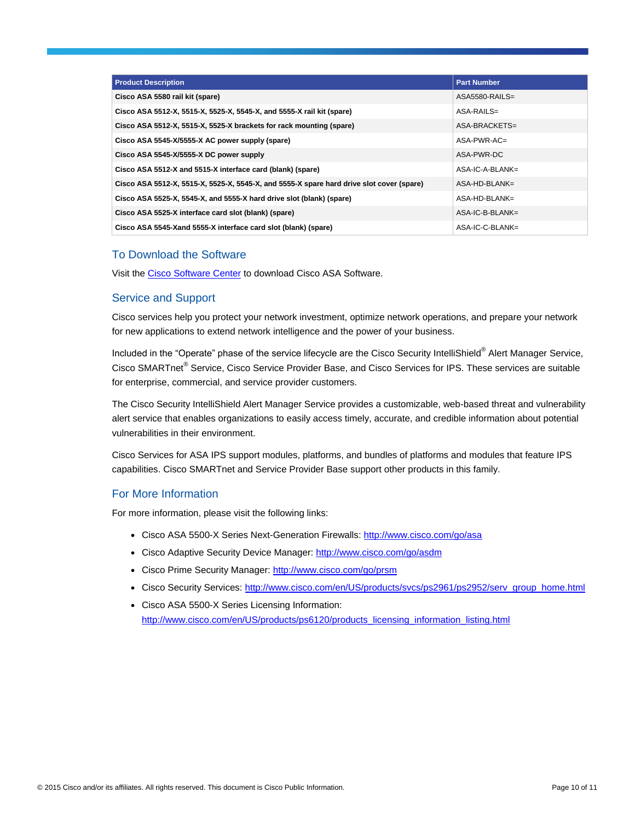| <b>Product Description</b>                                                               | <b>Part Number</b> |
|------------------------------------------------------------------------------------------|--------------------|
| Cisco ASA 5580 rail kit (spare)                                                          | ASA5580-RAILS=     |
| Cisco ASA 5512-X, 5515-X, 5525-X, 5545-X, and 5555-X rail kit (spare)                    | $ASA-RAILS=$       |
| Cisco ASA 5512-X, 5515-X, 5525-X brackets for rack mounting (spare)                      | ASA-BRACKETS=      |
| Cisco ASA 5545-X/5555-X AC power supply (spare)                                          | $ASA-PWR-AC=$      |
| Cisco ASA 5545-X/5555-X DC power supply                                                  | ASA-PWR-DC         |
| Cisco ASA 5512-X and 5515-X interface card (blank) (spare)                               | $ASA-IC-A-BLANK=$  |
| Cisco ASA 5512-X, 5515-X, 5525-X, 5545-X, and 5555-X spare hard drive slot cover (spare) | $ASA-HD-BLANK=$    |
| Cisco ASA 5525-X, 5545-X, and 5555-X hard drive slot (blank) (spare)                     | $ASA-HD-BLANK=$    |
| Cisco ASA 5525-X interface card slot (blank) (spare)                                     | $ASA-IC-B-BLANK=$  |
| Cisco ASA 5545-Xand 5555-X interface card slot (blank) (spare)                           | ASA-IC-C-BLANK=    |

#### To Download the Software

Visit th[e Cisco Software Center](http://www.cisco.com/cisco/web/support/index.html) to download Cisco ASA Software.

#### Service and Support

Cisco services help you protect your network investment, optimize network operations, and prepare your network for new applications to extend network intelligence and the power of your business.

Included in the "Operate" phase of the service lifecycle are the Cisco Security IntelliShield® Alert Manager Service, Cisco SMARTnet® Service, Cisco Service Provider Base, and Cisco Services for IPS. These services are suitable for enterprise, commercial, and service provider customers.

The Cisco Security IntelliShield Alert Manager Service provides a customizable, web-based threat and vulnerability alert service that enables organizations to easily access timely, accurate, and credible information about potential vulnerabilities in their environment.

Cisco Services for ASA IPS support modules, platforms, and bundles of platforms and modules that feature IPS capabilities. Cisco SMARTnet and Service Provider Base support other products in this family.

#### For More Information

For more information, please visit the following links:

- Cisco ASA 5500-X Series Next-Generation Firewalls:<http://www.cisco.com/go/asa>
- Cisco Adaptive Security Device Manager:<http://www.cisco.com/go/asdm>
- Cisco Prime Security Manager:<http://www.cisco.com/go/prsm>
- Cisco Security Services: [http://www.cisco.com/en/US/products/svcs/ps2961/ps2952/serv\\_group\\_home.html](http://www.cisco.com/en/US/products/svcs/ps2961/ps2952/serv_group_home.html)
- Cisco ASA 5500-X Series Licensing Information: [http://www.cisco.com/en/US/products/ps6120/products\\_licensing\\_information\\_listing.html](http://www.cisco.com/en/US/products/ps6120/products_licensing_information_listing.html)